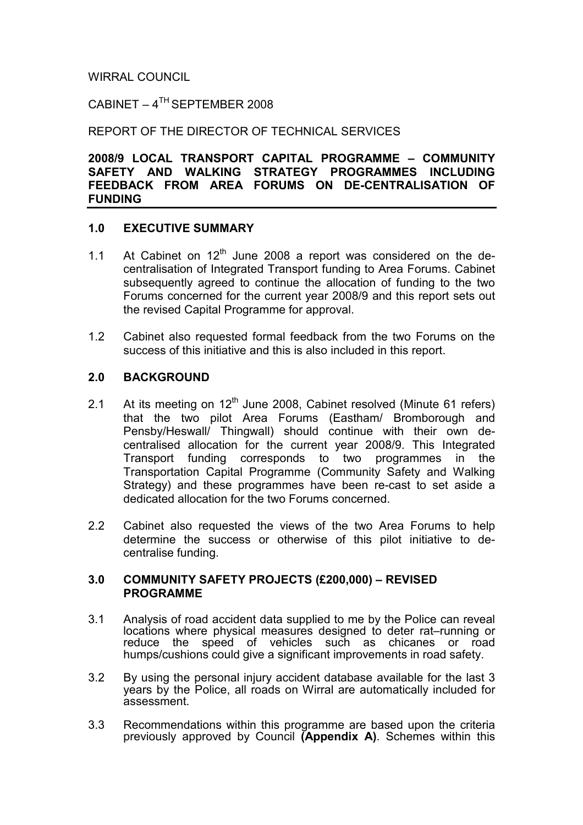## WIRRAL COUNCIL

 $C$ ABINET –  $4^{TH}$ SEPTEMBER 2008

REPORT OF THE DIRECTOR OF TECHNICAL SERVICES

2008/9 LOCAL TRANSPORT CAPITAL PROGRAMME – COMMUNITY SAFETY AND WALKING STRATEGY PROGRAMMES INCLUDING FEEDBACK FROM AREA FORUMS ON DE-CENTRALISATION OF FUNDING

## 1.0 EXECUTIVE SUMMARY

- 1.1 At Cabinet on  $12<sup>th</sup>$  June 2008 a report was considered on the decentralisation of Integrated Transport funding to Area Forums. Cabinet subsequently agreed to continue the allocation of funding to the two Forums concerned for the current year 2008/9 and this report sets out the revised Capital Programme for approval.
- 1.2 Cabinet also requested formal feedback from the two Forums on the success of this initiative and this is also included in this report.

## 2.0 BACKGROUND

- 2.1 At its meeting on  $12<sup>th</sup>$  June 2008, Cabinet resolved (Minute 61 refers) that the two pilot Area Forums (Eastham/ Bromborough and Pensby/Heswall/ Thingwall) should continue with their own decentralised allocation for the current year 2008/9. This Integrated Transport funding corresponds to two programmes in the Transportation Capital Programme (Community Safety and Walking Strategy) and these programmes have been re-cast to set aside a dedicated allocation for the two Forums concerned.
- 2.2 Cabinet also requested the views of the two Area Forums to help determine the success or otherwise of this pilot initiative to decentralise funding.

## 3.0 COMMUNITY SAFETY PROJECTS (£200,000) – REVISED PROGRAMME

- 3.1 Analysis of road accident data supplied to me by the Police can reveal locations where physical measures designed to deter rat–running or reduce the speed of vehicles such as chicanes or road humps/cushions could give a significant improvements in road safety.
- 3.2 By using the personal injury accident database available for the last 3 years by the Police, all roads on Wirral are automatically included for assessment.
- 3.3 Recommendations within this programme are based upon the criteria previously approved by Council (Appendix A). Schemes within this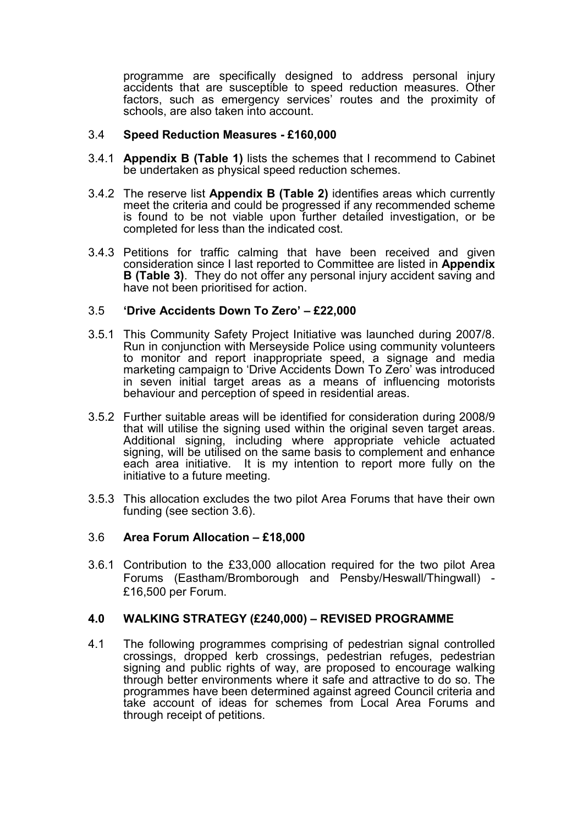programme are specifically designed to address personal injury accidents that are susceptible to speed reduction measures. Other factors, such as emergency services' routes and the proximity of schools, are also taken into account.

#### 3.4 Speed Reduction Measures - £160,000

- 3.4.1 Appendix B (Table 1) lists the schemes that I recommend to Cabinet be undertaken as physical speed reduction schemes.
- 3.4.2 The reserve list Appendix B (Table 2) identifies areas which currently meet the criteria and could be progressed if any recommended scheme is found to be not viable upon further detailed investigation, or be completed for less than the indicated cost.
- 3.4.3 Petitions for traffic calming that have been received and given consideration since I last reported to Committee are listed in Appendix B (Table 3). They do not offer any personal injury accident saving and have not been prioritised for action.

#### 3.5 'Drive Accidents Down To Zero' – £22,000

- 3.5.1 This Community Safety Project Initiative was launched during 2007/8. Run in conjunction with Merseyside Police using community volunteers to monitor and report inappropriate speed, a signage and media marketing campaign to 'Drive Accidents Down To Zero' was introduced in seven initial target areas as a means of influencing motorists behaviour and perception of speed in residential areas.
- 3.5.2 Further suitable areas will be identified for consideration during 2008/9 that will utilise the signing used within the original seven target areas. Additional signing, including where appropriate vehicle actuated signing, will be utilised on the same basis to complement and enhance each area initiative. It is my intention to report more fully on the initiative to a future meeting.
- 3.5.3 This allocation excludes the two pilot Area Forums that have their own funding (see section 3.6).

#### 3.6 Area Forum Allocation – £18,000

3.6.1 Contribution to the £33,000 allocation required for the two pilot Area Forums (Eastham/Bromborough and Pensby/Heswall/Thingwall) - £16,500 per Forum.

## 4.0 WALKING STRATEGY (£240,000) – REVISED PROGRAMME

4.1 The following programmes comprising of pedestrian signal controlled crossings, dropped kerb crossings, pedestrian refuges, pedestrian signing and public rights of way, are proposed to encourage walking through better environments where it safe and attractive to do so. The programmes have been determined against agreed Council criteria and take account of ideas for schemes from Local Area Forums and through receipt of petitions.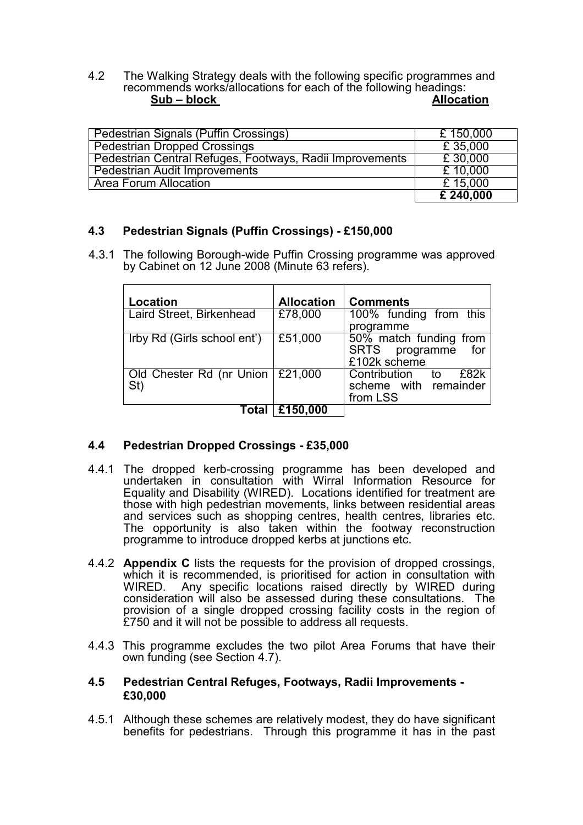4.2 The Walking Strategy deals with the following specific programmes and recommends works/allocations for each of the following headings:<br>Sub – block<br>Allocation  $Sub - block$ 

| Pedestrian Signals (Puffin Crossings)                    | £150,000  |
|----------------------------------------------------------|-----------|
| <b>Pedestrian Dropped Crossings</b>                      | £ 35,000  |
| Pedestrian Central Refuges, Footways, Radii Improvements | £ 30,000  |
| <b>Pedestrian Audit Improvements</b>                     | £10,000   |
| <b>Area Forum Allocation</b>                             | £15,000   |
|                                                          | £ 240,000 |

## 4.3 Pedestrian Signals (Puffin Crossings) - £150,000

4.3.1 The following Borough-wide Puffin Crossing programme was approved by Cabinet on 12 June 2008 (Minute 63 refers).

| Location                                  | <b>Allocation</b> | <b>Comments</b>                                                 |
|-------------------------------------------|-------------------|-----------------------------------------------------------------|
| Laird Street, Birkenhead                  | £78,000           | 100% funding from this<br>programme                             |
| Irby Rd (Girls school ent')               | £51,000           | 50% match funding from<br>SRTS programme<br>for<br>£102k scheme |
| Old Chester Rd (nr Union   £21,000<br>St) |                   | Contribution to<br>£82k<br>scheme with remainder<br>from LSS    |
|                                           | Total   £150,000  |                                                                 |

## 4.4 Pedestrian Dropped Crossings - £35,000

- 4.4.1 The dropped kerb-crossing programme has been developed and undertaken in consultation with Wirral Information Resource for Equality and Disability (WIRED). Locations identified for treatment are those with high pedestrian movements, links between residential areas and services such as shopping centres, health centres, libraries etc. The opportunity is also taken within the footway reconstruction programme to introduce dropped kerbs at junctions etc.
- 4.4.2 Appendix C lists the requests for the provision of dropped crossings, which it is recommended, is prioritised for action in consultation with WIRED. Any specific locations raised directly by WIRED during Any specific locations raised directly by WIRED during consideration will also be assessed during these consultations. The provision of a single dropped crossing facility costs in the region of £750 and it will not be possible to address all requests.
- 4.4.3 This programme excludes the two pilot Area Forums that have their own funding (see Section 4.7).

#### 4.5 Pedestrian Central Refuges, Footways, Radii Improvements - £30,000

4.5.1 Although these schemes are relatively modest, they do have significant benefits for pedestrians. Through this programme it has in the past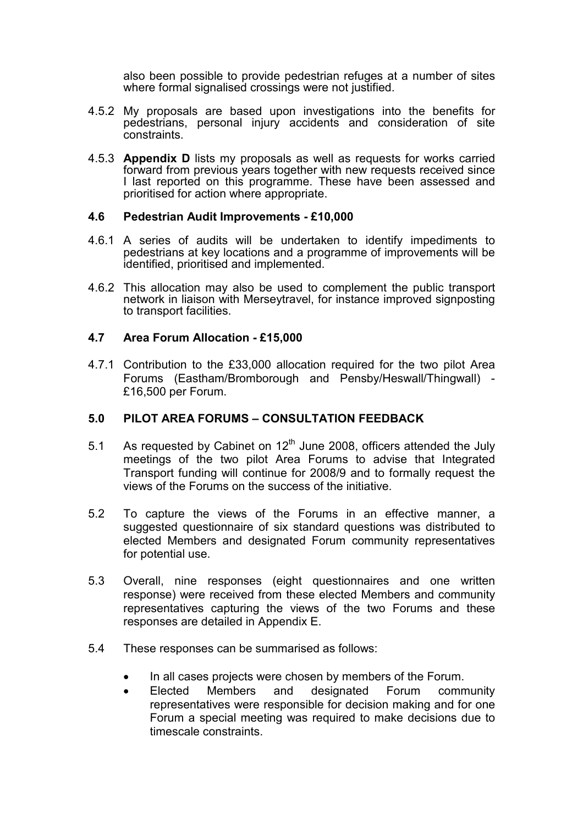also been possible to provide pedestrian refuges at a number of sites where formal signalised crossings were not justified.

- 4.5.2 My proposals are based upon investigations into the benefits for pedestrians, personal injury accidents and consideration of site constraints.
- 4.5.3 **Appendix D** lists my proposals as well as requests for works carried forward from previous years together with new requests received since I last reported on this programme. These have been assessed and prioritised for action where appropriate.

#### 4.6 Pedestrian Audit Improvements - £10,000

- 4.6.1 A series of audits will be undertaken to identify impediments to pedestrians at key locations and a programme of improvements will be identified, prioritised and implemented.
- 4.6.2 This allocation may also be used to complement the public transport network in liaison with Merseytravel, for instance improved signposting to transport facilities.

## 4.7 Area Forum Allocation - £15,000

4.7.1 Contribution to the £33,000 allocation required for the two pilot Area Forums (Eastham/Bromborough and Pensby/Heswall/Thingwall) - £16,500 per Forum.

## 5.0 PILOT AREA FORUMS – CONSULTATION FEEDBACK

- 5.1 As requested by Cabinet on  $12<sup>th</sup>$  June 2008, officers attended the July meetings of the two pilot Area Forums to advise that Integrated Transport funding will continue for 2008/9 and to formally request the views of the Forums on the success of the initiative.
- 5.2 To capture the views of the Forums in an effective manner, a suggested questionnaire of six standard questions was distributed to elected Members and designated Forum community representatives for potential use.
- 5.3 Overall, nine responses (eight questionnaires and one written response) were received from these elected Members and community representatives capturing the views of the two Forums and these responses are detailed in Appendix E.
- 5.4 These responses can be summarised as follows:
	- In all cases projects were chosen by members of the Forum.
	- Elected Members and designated Forum community representatives were responsible for decision making and for one Forum a special meeting was required to make decisions due to timescale constraints.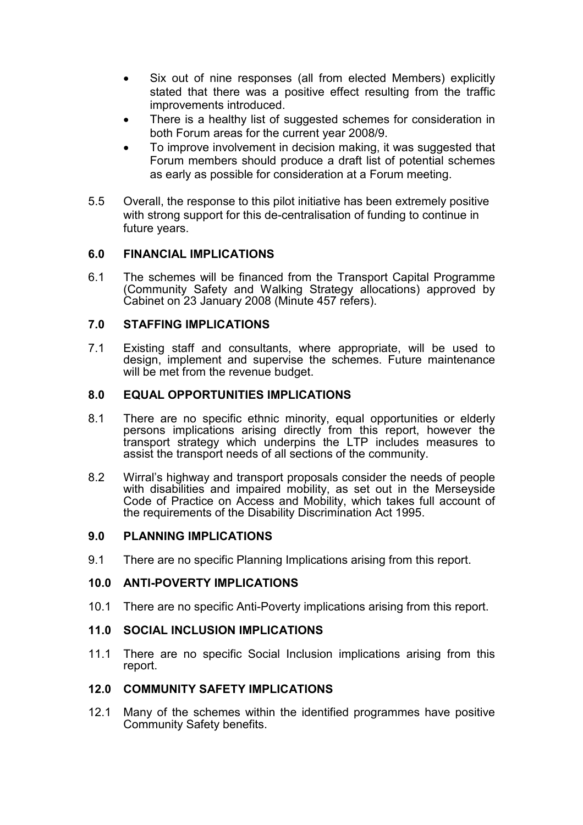- Six out of nine responses (all from elected Members) explicitly stated that there was a positive effect resulting from the traffic improvements introduced.
- There is a healthy list of suggested schemes for consideration in both Forum areas for the current year 2008/9.
- To improve involvement in decision making, it was suggested that Forum members should produce a draft list of potential schemes as early as possible for consideration at a Forum meeting.
- 5.5 Overall, the response to this pilot initiative has been extremely positive with strong support for this de-centralisation of funding to continue in future years.

## 6.0 FINANCIAL IMPLICATIONS

6.1 The schemes will be financed from the Transport Capital Programme (Community Safety and Walking Strategy allocations) approved by Cabinet on 23 January 2008 (Minute 457 refers).

## 7.0 STAFFING IMPLICATIONS

7.1 Existing staff and consultants, where appropriate, will be used to design, implement and supervise the schemes. Future maintenance will be met from the revenue budget.

## 8.0 EQUAL OPPORTUNITIES IMPLICATIONS

- 8.1 There are no specific ethnic minority, equal opportunities or elderly persons implications arising directly from this report, however the transport strategy which underpins the LTP includes measures to assist the transport needs of all sections of the community.
- 8.2 Wirral's highway and transport proposals consider the needs of people with disabilities and impaired mobility, as set out in the Merseyside Code of Practice on Access and Mobility, which takes full account of the requirements of the Disability Discrimination Act 1995.

## 9.0 PLANNING IMPLICATIONS

9.1 There are no specific Planning Implications arising from this report.

## 10.0 ANTI-POVERTY IMPLICATIONS

10.1 There are no specific Anti-Poverty implications arising from this report.

## 11.0 SOCIAL INCLUSION IMPLICATIONS

11.1 There are no specific Social Inclusion implications arising from this report.

## 12.0 COMMUNITY SAFETY IMPLICATIONS

12.1 Many of the schemes within the identified programmes have positive Community Safety benefits.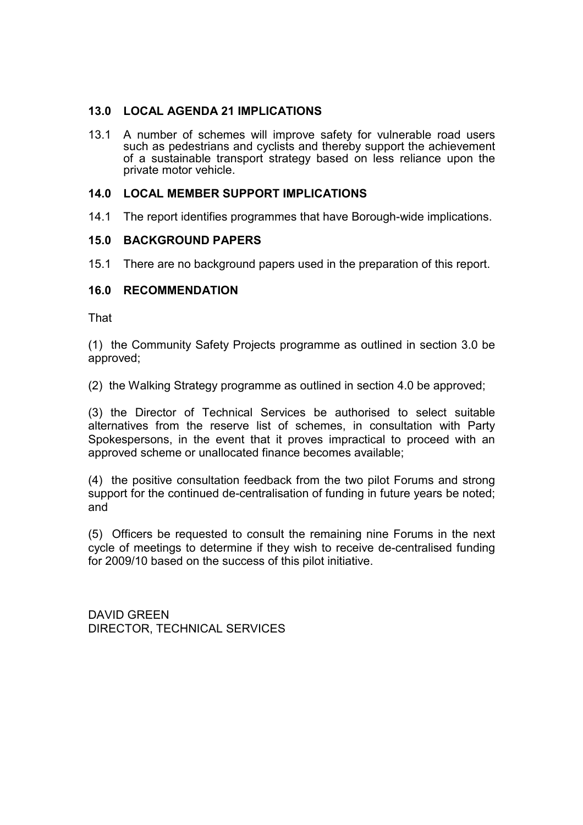## 13.0 LOCAL AGENDA 21 IMPLICATIONS

13.1 A number of schemes will improve safety for vulnerable road users such as pedestrians and cyclists and thereby support the achievement of a sustainable transport strategy based on less reliance upon the private motor vehicle.

## 14.0 LOCAL MEMBER SUPPORT IMPLICATIONS

14.1 The report identifies programmes that have Borough-wide implications.

## 15.0 BACKGROUND PAPERS

15.1 There are no background papers used in the preparation of this report.

#### 16.0 RECOMMENDATION

That

(1) the Community Safety Projects programme as outlined in section 3.0 be approved;

(2) the Walking Strategy programme as outlined in section 4.0 be approved;

(3) the Director of Technical Services be authorised to select suitable alternatives from the reserve list of schemes, in consultation with Party Spokespersons, in the event that it proves impractical to proceed with an approved scheme or unallocated finance becomes available;

(4) the positive consultation feedback from the two pilot Forums and strong support for the continued de-centralisation of funding in future years be noted; and

(5) Officers be requested to consult the remaining nine Forums in the next cycle of meetings to determine if they wish to receive de-centralised funding for 2009/10 based on the success of this pilot initiative.

DAVID GREEN DIRECTOR, TECHNICAL SERVICES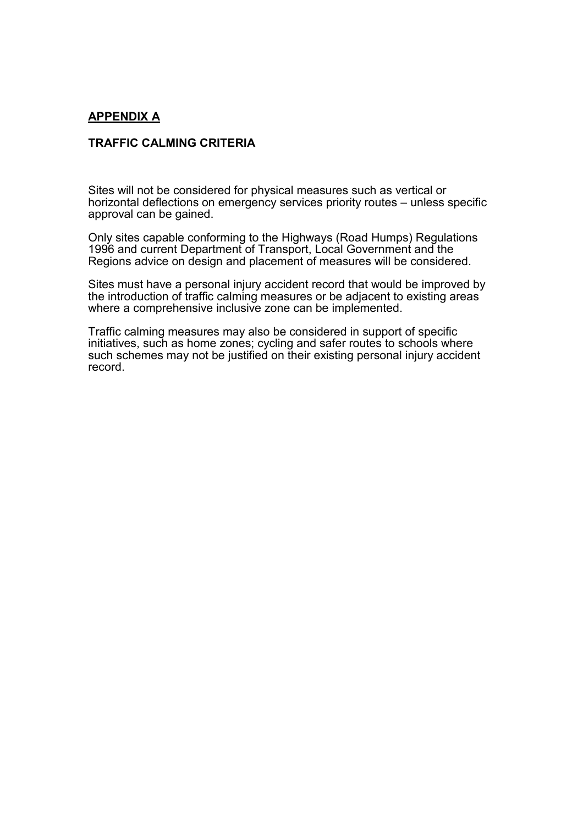#### APPENDIX A

#### TRAFFIC CALMING CRITERIA

Sites will not be considered for physical measures such as vertical or horizontal deflections on emergency services priority routes – unless specific approval can be gained.

Only sites capable conforming to the Highways (Road Humps) Regulations 1996 and current Department of Transport, Local Government and the Regions advice on design and placement of measures will be considered.

Sites must have a personal injury accident record that would be improved by the introduction of traffic calming measures or be adjacent to existing areas where a comprehensive inclusive zone can be implemented.

Traffic calming measures may also be considered in support of specific initiatives, such as home zones; cycling and safer routes to schools where such schemes may not be justified on their existing personal injury accident record.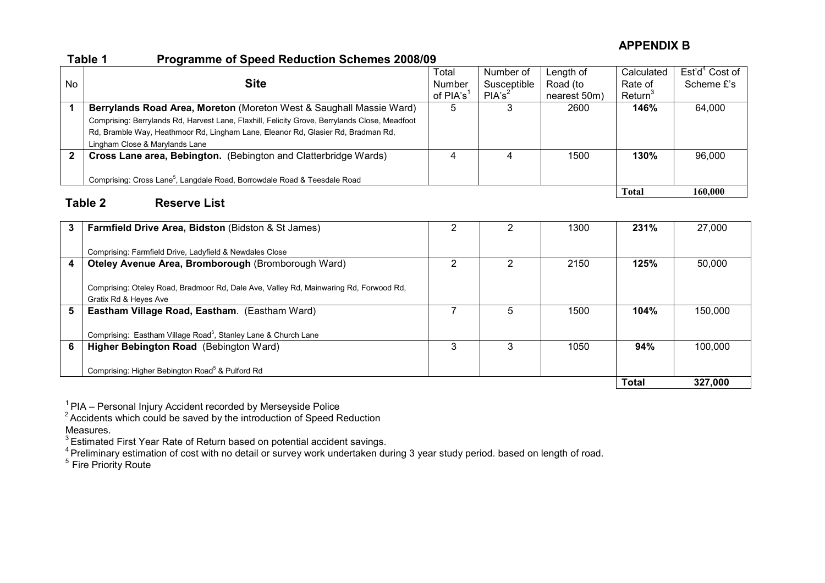## APPENDIX B

#### Table 1 Programme of Speed Reduction Schemes 2008/09

|             |                                                                                               | Total       | Number of          | Length of    | Calculated          | $Est'd^4$ Cost of |
|-------------|-----------------------------------------------------------------------------------------------|-------------|--------------------|--------------|---------------------|-------------------|
| No          | <b>Site</b>                                                                                   | Number      | Susceptible        | Road (to     | Rate of             | Scheme £'s        |
|             |                                                                                               | of $PIA's1$ | PIA's <sup>2</sup> | nearest 50m) | Return <sup>3</sup> |                   |
|             | Berrylands Road Area, Moreton (Moreton West & Saughall Massie Ward)                           | 5           |                    | 2600         | 146%                | 64,000            |
|             | Comprising: Berrylands Rd, Harvest Lane, Flaxhill, Felicity Grove, Berrylands Close, Meadfoot |             |                    |              |                     |                   |
|             | Rd, Bramble Way, Heathmoor Rd, Lingham Lane, Eleanor Rd, Glasier Rd, Bradman Rd,              |             |                    |              |                     |                   |
|             | Lingham Close & Marylands Lane                                                                |             |                    |              |                     |                   |
| $\mathbf 2$ | Cross Lane area, Bebington. (Bebington and Clatterbridge Wards)                               | 4           |                    | 1500         | 130%                | 96,000            |
|             | Comprising: Cross Lane <sup>5</sup> , Langdale Road, Borrowdale Road & Teesdale Road          |             |                    |              |                     |                   |
|             |                                                                                               |             |                    |              | <b>Total</b>        | 160,000           |
|             | Table 2<br><b>Reserve List</b>                                                                |             |                    |              |                     |                   |

| 3 | Farmfield Drive Area, Bidston (Bidston & St James)                                    |   |   | 1300 | 231%         | 27,000  |
|---|---------------------------------------------------------------------------------------|---|---|------|--------------|---------|
|   |                                                                                       |   |   |      |              |         |
|   | Comprising: Farmfield Drive, Ladyfield & Newdales Close                               |   |   |      |              |         |
| 4 | Oteley Avenue Area, Bromborough (Bromborough Ward)                                    |   |   | 2150 | 125%         | 50,000  |
|   |                                                                                       |   |   |      |              |         |
|   | Comprising: Oteley Road, Bradmoor Rd, Dale Ave, Valley Rd, Mainwaring Rd, Forwood Rd, |   |   |      |              |         |
|   | Gratix Rd & Heyes Ave                                                                 |   |   |      |              |         |
| 5 | Eastham Village Road, Eastham. (Eastham Ward)                                         |   | 5 | 1500 | 104%         | 150,000 |
|   |                                                                                       |   |   |      |              |         |
|   | Comprising: Eastham Village Road <sup>5</sup> , Stanley Lane & Church Lane            |   |   |      |              |         |
| 6 | Higher Bebington Road (Bebington Ward)                                                | 3 | 3 | 1050 | 94%          | 100.000 |
|   |                                                                                       |   |   |      |              |         |
|   | Comprising: Higher Bebington Road <sup>5</sup> & Pulford Rd                           |   |   |      |              |         |
|   |                                                                                       |   |   |      | <b>Total</b> | 327,000 |

 $1$ PIA – Personal Injury Accident recorded by Merseyside Police<br>
<sup>2</sup> Accidents which could be saved by the introduction of Speed Reduction

Measures.

<sup>3</sup> Estimated First Year Rate of Return based on potential accident savings.<br><sup>4</sup> Preliminary estimation of cost with no detail or survey work undertaken during 3 year study period. based on length of road.<br><sup>5</sup> Fire Priorit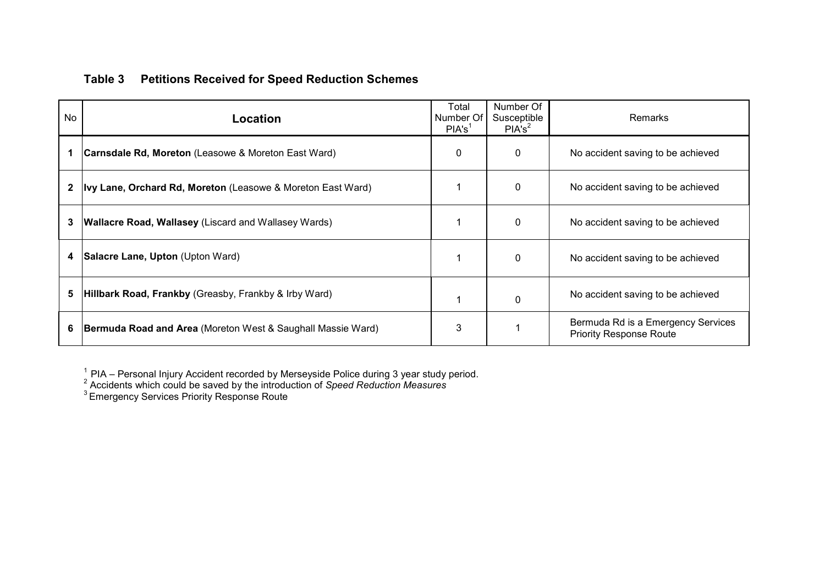## Table 3 Petitions Received for Speed Reduction Schemes

| <b>No</b>    | Location                                                           | Total<br>Number Of<br>PIA's <sup>1</sup> | Number Of<br>Susceptible<br>PIA's <sup>2</sup> | Remarks                                                              |
|--------------|--------------------------------------------------------------------|------------------------------------------|------------------------------------------------|----------------------------------------------------------------------|
|              | <b>Carnsdale Rd, Moreton</b> (Leasowe & Moreton East Ward)         | $\mathbf{0}$                             | $\Omega$                                       | No accident saving to be achieved                                    |
| $\mathbf{2}$ | <b>Ivy Lane, Orchard Rd, Moreton</b> (Leasowe & Moreton East Ward) |                                          | $\mathbf{0}$                                   | No accident saving to be achieved                                    |
| 3            | <b>Wallacre Road, Wallasey</b> (Liscard and Wallasey Wards)        |                                          | $\mathbf{0}$                                   | No accident saving to be achieved                                    |
| 4            | Salacre Lane, Upton (Upton Ward)                                   |                                          | $\mathbf{0}$                                   | No accident saving to be achieved                                    |
| 5            | Hillbark Road, Frankby (Greasby, Frankby & Irby Ward)              |                                          | $\mathbf{0}$                                   | No accident saving to be achieved                                    |
| 6            | <b>Bermuda Road and Area</b> (Moreton West & Saughall Massie Ward) | 3                                        |                                                | Bermuda Rd is a Emergency Services<br><b>Priority Response Route</b> |

<sup>1</sup> PIA – Personal Injury Accident recorded by Merseyside Police during 3 year study period.<br><sup>2</sup> Accidents which could be saved by the introduction of *Speed Reduction Measures*<br><sup>3</sup> Emergency Services Priority Response Rou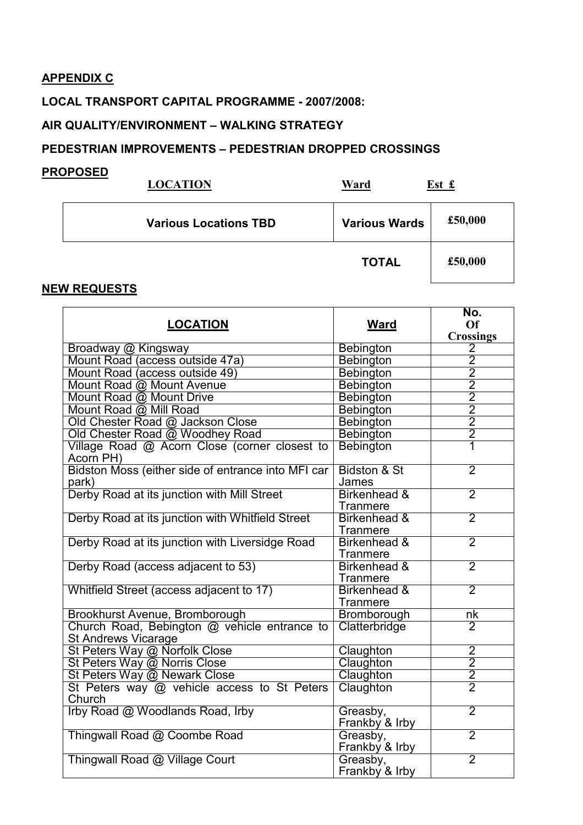## APPENDIX C

## LOCAL TRANSPORT CAPITAL PROGRAMME - 2007/2008:

## AIR QUALITY/ENVIRONMENT – WALKING STRATEGY

## PEDESTRIAN IMPROVEMENTS – PEDESTRIAN DROPPED CROSSINGS

#### PROPOSED

| <b>LOCATION</b>              | Ward                 | Est £   |
|------------------------------|----------------------|---------|
| <b>Various Locations TBD</b> | <b>Various Wards</b> | £50,000 |
|                              | <b>TOTAL</b>         | £50,000 |

## NEW REQUESTS

|                                                                            |                         | No.                                       |
|----------------------------------------------------------------------------|-------------------------|-------------------------------------------|
| <b>LOCATION</b>                                                            | <b>Ward</b>             | Of                                        |
| Broadway @ Kingsway                                                        | Bebington               | <b>Crossings</b><br>$\overline{2}$        |
| Mount Road (access outside 47a)                                            | Bebington               | $\overline{2}$                            |
| Mount Road (access outside 49)                                             | <b>Bebington</b>        |                                           |
|                                                                            |                         |                                           |
| Mount Road @ Mount Avenue                                                  | Bebington               | $\frac{2}{2}$ $\frac{2}{2}$ $\frac{2}{2}$ |
| Mount Road @ Mount Drive<br>Mount Road @ Mill Road                         | Bebington               |                                           |
|                                                                            | Bebington               |                                           |
| Old Chester Road @ Jackson Close                                           | Bebington               |                                           |
| Old Chester Road @ Woodhey Road                                            | Bebington               |                                           |
| Village Road @ Acorn Close (corner closest to<br>Acorn PH)                 | <b>Bebington</b>        |                                           |
| Bidston Moss (either side of entrance into MFI car                         | <b>Bidston &amp; St</b> | $\overline{2}$                            |
| park)                                                                      | James                   |                                           |
| Derby Road at its junction with Mill Street                                | Birkenhead &            | $\overline{2}$                            |
|                                                                            | Tranmere                |                                           |
| Derby Road at its junction with Whitfield Street                           | Birkenhead &            | $\overline{2}$                            |
|                                                                            | Tranmere                |                                           |
| Derby Road at its junction with Liversidge Road                            | Birkenhead &            | $\overline{2}$                            |
|                                                                            | Tranmere                |                                           |
| Derby Road (access adjacent to 53)                                         | Birkenhead &            | $\overline{2}$                            |
|                                                                            | Tranmere                |                                           |
| Whitfield Street (access adjacent to 17)                                   | Birkenhead &            | $\overline{2}$                            |
|                                                                            | Tranmere                |                                           |
| Brookhurst Avenue, Bromborough                                             | Bromborough             | $n_{\mathsf{K}}$                          |
| Church Road, Bebington @ vehicle entrance to<br><b>St Andrews Vicarage</b> | Clatterbridge           | $\overline{2}$                            |
| St Peters Way @ Norfolk Close                                              | Claughton               | $\overline{2}$                            |
| St Peters Way @ Norris Close                                               | Claughton               | $\overline{2}$                            |
| St Peters Way @ Newark Close                                               | Claughton               | $\overline{2}$                            |
| St Peters way @ vehicle access to St Peters                                | Claughton               | $\overline{2}$                            |
| Church                                                                     |                         |                                           |
| Irby Road @ Woodlands Road, Irby                                           | Greasby,                | $\overline{2}$                            |
|                                                                            | Frankby & Irby          |                                           |
| Thingwall Road @ Coombe Road                                               | Greasby,                | $\overline{2}$                            |
|                                                                            | Frankby & Irby          |                                           |
| Thingwall Road @ Village Court                                             | Greasby,                | $\overline{2}$                            |
|                                                                            | Frankby & Irby          |                                           |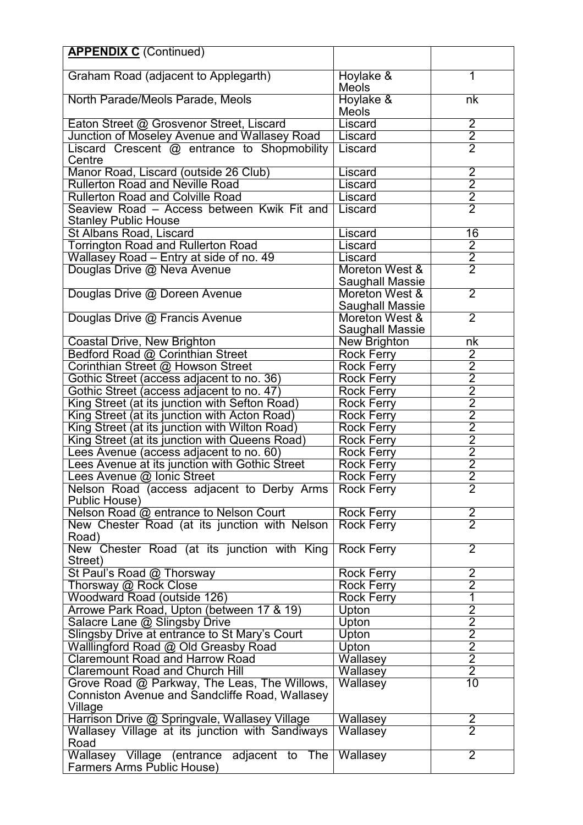| <b>APPENDIX C (Continued)</b>                                                                  |                           |                                                                       |
|------------------------------------------------------------------------------------------------|---------------------------|-----------------------------------------------------------------------|
|                                                                                                |                           |                                                                       |
| Graham Road (adjacent to Applegarth)                                                           | Hoylake &                 | 1                                                                     |
|                                                                                                | <b>Meols</b>              | nk                                                                    |
| North Parade/Meols Parade, Meols                                                               | Hoylake &<br><b>Meols</b> |                                                                       |
| Eaton Street @ Grosvenor Street, Liscard                                                       | Liscard                   | $\overline{2}$                                                        |
| Junction of Moseley Avenue and Wallasey Road                                                   | Liscard                   | $\overline{2}$                                                        |
| Liscard Crescent @ entrance to Shopmobility                                                    | Liscard                   | $\overline{2}$                                                        |
| Centre                                                                                         |                           |                                                                       |
| Manor Road, Liscard (outside 26 Club)                                                          | Liscard                   | $\overline{2}$                                                        |
| <b>Rullerton Road and Neville Road</b>                                                         | Liscard                   | $\overline{2}$                                                        |
| <b>Rullerton Road and Colville Road</b>                                                        | Liscard                   | $\frac{2}{2}$                                                         |
| Seaview Road - Access between Kwik Fit and                                                     | Liscard                   |                                                                       |
| <b>Stanley Public House</b>                                                                    |                           |                                                                       |
| <b>St Albans Road, Liscard</b>                                                                 | Liscard                   | 16                                                                    |
| <b>Torrington Road and Rullerton Road</b>                                                      | Liscard                   | $\overline{2}$                                                        |
| Wallasey Road - Entry at side of no. 49                                                        | Liscard                   | $\frac{1}{2}$                                                         |
| Douglas Drive @ Neva Avenue                                                                    | Moreton West &            |                                                                       |
|                                                                                                | Saughall Massie           |                                                                       |
| Douglas Drive @ Doreen Avenue                                                                  | Moreton West &            | $\overline{2}$                                                        |
|                                                                                                | Saughall Massie           |                                                                       |
| Douglas Drive @ Francis Avenue                                                                 | Moreton West &            | $\overline{2}$                                                        |
|                                                                                                | Saughall Massie           |                                                                       |
| <b>Coastal Drive, New Brighton</b>                                                             | New Brighton              | nk                                                                    |
| Bedford Road @ Corinthian Street                                                               | <b>Rock Ferry</b>         |                                                                       |
| Corinthian Street @ Howson Street                                                              | <b>Rock Ferry</b>         |                                                                       |
| Gothic Street (access adjacent to no. 36)                                                      | Rock Ferry                |                                                                       |
| Gothic Street (access adjacent to no. 47)                                                      | Rock Ferry                |                                                                       |
| King Street (at its junction with Sefton Road)                                                 | <b>Rock Ferry</b>         |                                                                       |
| King Street (at its junction with Acton Road)                                                  | <b>Rock Ferry</b>         | $\frac{2}{2}$ $\frac{2}{2}$ $\frac{2}{2}$ $\frac{2}{2}$ $\frac{2}{2}$ |
| King Street (at its junction with Wilton Road)                                                 | <b>Rock Ferry</b>         |                                                                       |
| King Street (at its junction with Queens Road)                                                 | <b>Rock Ferry</b>         | $\frac{1}{2}$                                                         |
| Lees Avenue (access adjacent to no. 60)                                                        | Rock Ferry                |                                                                       |
| ees Avenue at its junction with Gothic Street                                                  | <b>Rock Ferry</b>         | 2                                                                     |
| Lees Avenue @ Ionic Street                                                                     | <b>Rock Ferry</b>         | $\overline{2}$                                                        |
| Nelson Road (access adjacent to Derby Arms                                                     | <b>Rock Ferry</b>         | 2                                                                     |
| Public House)                                                                                  |                           |                                                                       |
| Nelson Road @ entrance to Nelson Court                                                         | Rock Ferry                | $\overline{2}$                                                        |
| New Chester Road (at its junction with Nelson                                                  | <b>Rock Ferry</b>         | $\overline{2}$                                                        |
| Road)                                                                                          |                           |                                                                       |
| New Chester Road (at its junction with King                                                    | <b>Rock Ferry</b>         | $\overline{2}$                                                        |
| Street)                                                                                        |                           |                                                                       |
| St Paul's Road @ Thorsway                                                                      | Rock Ferry                | $\overline{2}$                                                        |
| Thorsway @ Rock Close                                                                          | Rock Ferry                | $\overline{2}$                                                        |
| Woodward Road (outside 126)                                                                    | Rock Ferry                | 1<br>2                                                                |
| Arrowe Park Road, Upton (between 17 & 19)                                                      | Upton                     |                                                                       |
| Salacre Lane @ Slingsby Drive                                                                  | Upton                     | $\overline{2}$<br>$\overline{2}$                                      |
| Slingsby Drive at entrance to St Mary's Court                                                  | <b>Upton</b>              | $\overline{2}$                                                        |
| Walllingford Road @ Old Greasby Road                                                           | Upton                     | $\overline{2}$                                                        |
| <b>Claremount Road and Harrow Road</b><br><b>Claremount Road and Church Hill</b>               | Wallasey                  | $\overline{2}$                                                        |
|                                                                                                | <b>Wallasey</b>           | 10                                                                    |
| Grove Road @ Parkway, The Leas, The Willows,<br>Conniston Avenue and Sandcliffe Road, Wallasey | Wallasey                  |                                                                       |
|                                                                                                |                           |                                                                       |
| Village<br>Harrison Drive @ Springvale, Wallasey Village                                       | Wallasey                  |                                                                       |
| Wallasey Village at its junction with Sandiways                                                | Wallasey                  | $\frac{2}{2}$                                                         |
| Road                                                                                           |                           |                                                                       |
| Wallasey Village<br>(entrance adjacent to<br>The                                               | Wallasey                  | $\overline{2}$                                                        |
| Farmers Arms Public House)                                                                     |                           |                                                                       |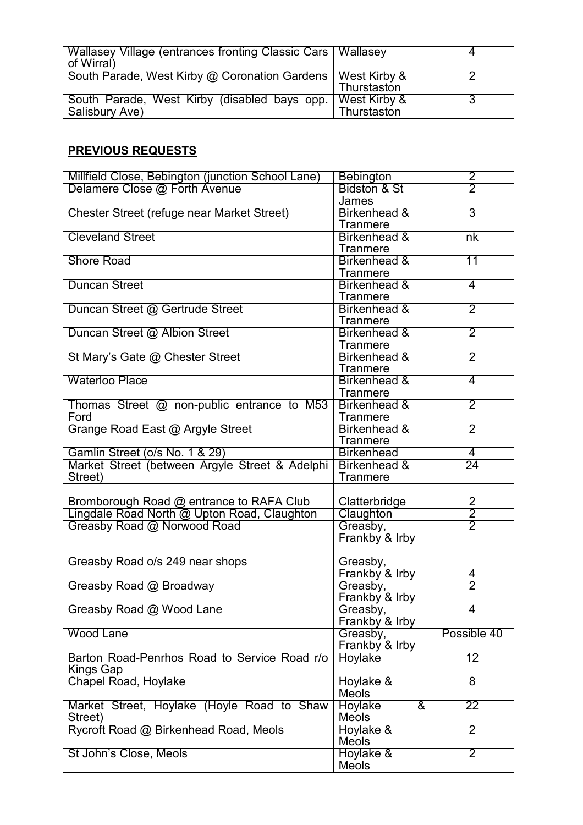| Wallasey Village (entrances fronting Classic Cars   Wallasey<br>of Wirral     |             |  |
|-------------------------------------------------------------------------------|-------------|--|
| South Parade, West Kirby @ Coronation Gardens   West Kirby &                  | Thurstaston |  |
| South Parade, West Kirby (disabled bays opp.   West Kirby &<br>Salisbury Ave) | Thurstaston |  |

# PREVIOUS REQUESTS

| Millfield Close, Bebington (junction School Lane) | <b>Bebington</b>                   |                 |
|---------------------------------------------------|------------------------------------|-----------------|
| Delamere Close @ Forth Avenue                     | <b>Bidston &amp; St</b>            | $\frac{2}{2}$   |
|                                                   | James                              |                 |
| <b>Chester Street (refuge near Market Street)</b> | Birkenhead &                       | $\overline{3}$  |
|                                                   | Tranmere                           |                 |
| <b>Cleveland Street</b>                           | Birkenhead &                       | n <sub>k</sub>  |
|                                                   | Tranmere                           |                 |
| <b>Shore Road</b>                                 | Birkenhead &                       | $\overline{11}$ |
|                                                   | Tranmere                           |                 |
| <b>Duncan Street</b>                              | Birkenhead &                       | 4               |
|                                                   | Tranmere                           |                 |
| Duncan Street @ Gertrude Street                   | Birkenhead &                       | $\overline{2}$  |
|                                                   | Tranmere                           |                 |
| Duncan Street @ Albion Street                     | Birkenhead &                       | $\overline{2}$  |
|                                                   | Tranmere                           |                 |
| St Mary's Gate @ Chester Street                   | Birkenhead &                       | $\overline{2}$  |
|                                                   | <b>Tranmere</b>                    |                 |
| <b>Waterloo Place</b>                             | Birkenhead &                       | $\overline{4}$  |
|                                                   | Tranmere                           |                 |
| Thomas Street @ non-public entrance to M53        | Birkenhead &                       | $\overline{2}$  |
| Ford                                              | Tranmere                           |                 |
| Grange Road East @ Argyle Street                  | Birkenhead &                       | $\overline{2}$  |
|                                                   | Tranmere                           |                 |
| Gamlin Street (o/s No. 1 & 29)                    | <b>Birkenhead</b>                  | 4               |
| Market Street (between Argyle Street & Adelphi    | Birkenhead &                       | $\overline{24}$ |
| Street)                                           | Tranmere                           |                 |
|                                                   |                                    |                 |
| Bromborough Road @ entrance to RAFA Club          | Clatterbridge                      | $\overline{2}$  |
| Lingdale Road North @ Upton Road, Claughton       | Claughton                          | $\overline{2}$  |
| Greasby Road @ Norwood Road                       | Greasby,                           | $\overline{2}$  |
|                                                   | Frankby & Irby                     |                 |
|                                                   |                                    |                 |
| Greasby Road o/s 249 near shops                   | Greasby,                           |                 |
|                                                   | Frankby & Irby                     | 4               |
| Greasby Road @ Broadway                           | Greasby,                           | $\overline{2}$  |
|                                                   | Frankby & Irby                     |                 |
| Greasby Road @ Wood Lane                          | Greasby,                           |                 |
|                                                   | Frankby & Irby                     |                 |
| <b>Wood Lane</b>                                  | Greasby,                           | Possible 40     |
|                                                   | Frankby & Irby                     |                 |
| Barton Road-Penrhos Road to Service Road r/o      | Hoylake                            | 12              |
| Kings Gap                                         |                                    |                 |
| Chapel Road, Hoylake                              | Hoylake &                          | $\overline{8}$  |
|                                                   | Meols                              |                 |
| Market Street, Hoylake (Hoyle Road to Shaw        | Hoylake<br>$\overline{\mathbf{g}}$ | $\overline{22}$ |
| Street)                                           | <b>Meols</b>                       |                 |
| Rycroft Road @ Birkenhead Road, Meols             | Hoylake &                          | $\overline{2}$  |
|                                                   | <b>Meols</b>                       |                 |
| St John's Close, Meols                            | Hoylake &                          | $\overline{2}$  |
|                                                   | Meols                              |                 |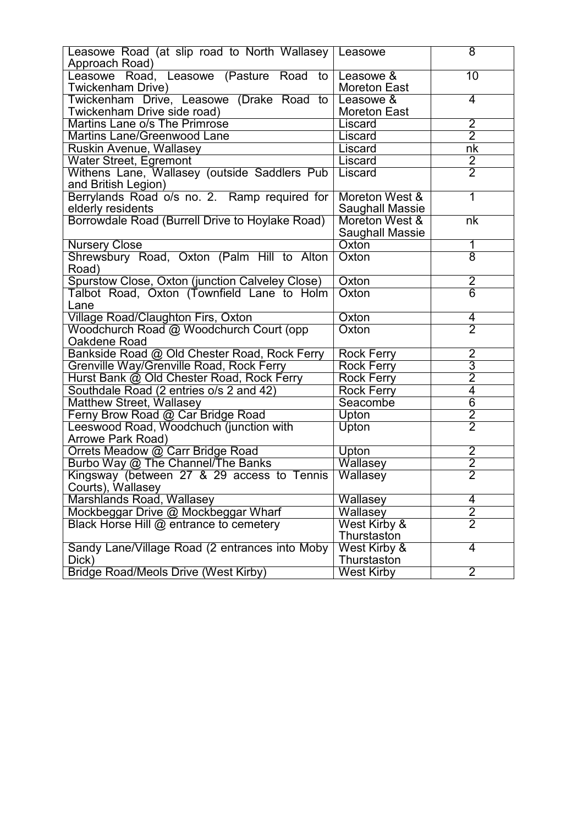| Leasowe Road (at slip road to North Wallasey   Leasowe |                         | $\overline{8}$                   |
|--------------------------------------------------------|-------------------------|----------------------------------|
| Approach Road)                                         |                         |                                  |
| Leasowe Road, Leasowe (Pasture Road to                 | Leasowe &               | 10                               |
| Twickenham Drive)                                      | <b>Moreton East</b>     |                                  |
| Twickenham Drive, Leasowe (Drake Road to               | Leasowe &               | 4                                |
|                                                        |                         |                                  |
| Twickenham Drive side road)                            | <b>Moreton East</b>     |                                  |
| Martins Lane o/s The Primrose                          | Liscard                 | $\overline{2}$<br>$\overline{2}$ |
| <b>Martins Lane/Greenwood Lane</b>                     | Liscard                 |                                  |
| Ruskin Avenue, Wallasey                                | Liscard                 | nk                               |
| Water Street, Egremont                                 | Liscard                 | $\frac{2}{2}$                    |
| Withens Lane, Wallasey (outside Saddlers Pub           | Liscard                 |                                  |
| and British Legion)                                    |                         |                                  |
| Berrylands Road o/s no. 2. Ramp required for           | Moreton West &          | 1                                |
| elderly residents                                      | Saughall Massie         |                                  |
| Borrowdale Road (Burrell Drive to Hoylake Road)        | Moreton West &          | nk                               |
|                                                        | Saughall Massie         |                                  |
| <b>Nursery Close</b>                                   | Oxton                   | 1                                |
| Shrewsbury Road, Oxton (Palm Hill to Alton)            | Oxton                   | $\overline{8}$                   |
| Road)                                                  |                         |                                  |
| Spurstow Close, Oxton (junction Calveley Close)        | Oxton                   | $\overline{2}$                   |
| Talbot Road, Oxton (Townfield Lane to Holm             | Oxton                   | $\overline{6}$                   |
| Lane                                                   |                         |                                  |
| Village Road/Claughton Firs, Oxton                     | Oxton                   | $\frac{4}{2}$                    |
| Woodchurch Road @ Woodchurch Court (opp                | Oxton                   |                                  |
| Oakdene Road                                           |                         |                                  |
| Bankside Road @ Old Chester Road, Rock Ferry           | <b>Rock Ferry</b>       | $\overline{2}$                   |
| Grenville Way/Grenville Road, Rock Ferry               | Rock Ferry              | $\overline{3}$                   |
| Hurst Bank @ Old Chester Road, Rock Ferry              | <b>Rock Ferry</b>       | $\overline{2}$                   |
| Southdale Road (2 entries o/s 2 and 42)                | <b>Rock Ferry</b>       | $\overline{4}$                   |
| <b>Matthew Street, Wallasey</b>                        | Seacombe                | $\overline{6}$                   |
| Ferny Brow Road @ Car Bridge Road                      | Upton                   | $\overline{2}$                   |
| Leeswood Road, Woodchuch (junction with                | Upton                   | $\overline{2}$                   |
| Arrowe Park Road)                                      |                         |                                  |
| Orrets Meadow @ Carr Bridge Road                       | Upton                   | $\overline{2}$                   |
| Burbo Way @ The Channel/The Banks                      | Wallasey                | $\overline{2}$                   |
| Kingsway (between 27 & 29 access to Tennis             | Wallasey                | $\overline{2}$                   |
| Courts), Wallasey                                      |                         |                                  |
| Marshlands Road, Wallasey                              | Wallasey                | 4                                |
| Mockbeggar Drive @ Mockbeggar Wharf                    | Wallasey                | $\overline{2}$                   |
| Black Horse Hill @ entrance to cemetery                | West Kirby &            | $\overline{2}$                   |
|                                                        | Thurstaston             |                                  |
| Sandy Lane/Village Road (2 entrances into Moby         | <b>West Kirby &amp;</b> | 4                                |
| Dick)                                                  | Thurstaston             |                                  |
| <b>Bridge Road/Meols Drive (West Kirby)</b>            | <b>West Kirby</b>       | $\overline{2}$                   |
|                                                        |                         |                                  |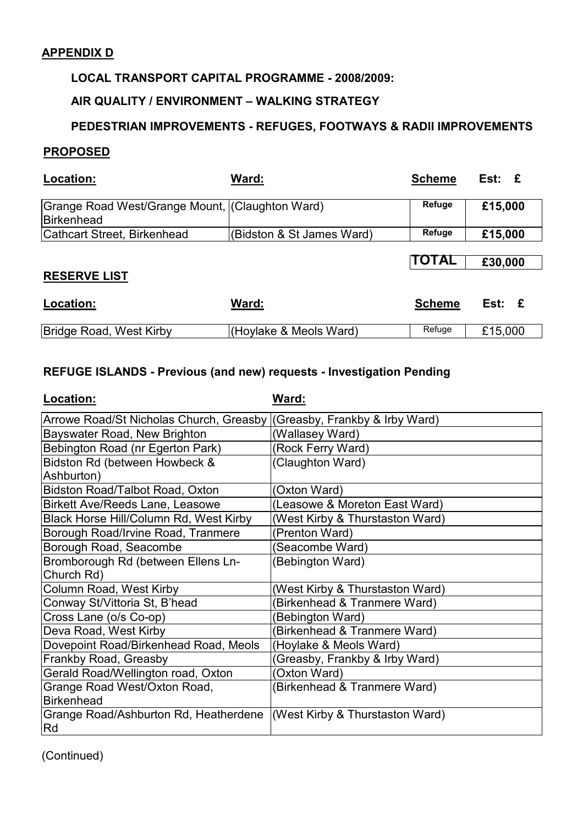## APPENDIX D

## LOCAL TRANSPORT CAPITAL PROGRAMME - 2008/2009:

## AIR QUALITY / ENVIRONMENT – WALKING STRATEGY

## PEDESTRIAN IMPROVEMENTS - REFUGES, FOOTWAYS & RADII IMPROVEMENTS

#### PROPOSED

| Location:                                                     | Ward:                     | <b>Scheme</b> | $Est: \tE$ |
|---------------------------------------------------------------|---------------------------|---------------|------------|
| Grange Road West/Grange Mount, (Claughton Ward)<br>Birkenhead |                           | Refuge        | £15,000    |
| Cathcart Street, Birkenhead                                   | (Bidston & St James Ward) | Refuge        | £15,000    |
|                                                               |                           |               |            |
|                                                               |                           | <b>TOTAL</b>  | £30,000    |
| <b>RESERVE LIST</b>                                           |                           |               |            |
| Location:                                                     | Ward <sup>.</sup>         | Schama        | Fst:       |

| LUCAUUII.               | vvaru.                 | ocheme | ESL.    |
|-------------------------|------------------------|--------|---------|
| Bridge Road, West Kirby | (Hoylake & Meols Ward) | Refuge | £15,000 |

## REFUGE ISLANDS - Previous (and new) requests - Investigation Pending

| Location:                                                                     | Ward:                           |
|-------------------------------------------------------------------------------|---------------------------------|
| Arrowe Road/St Nicholas Church, Greasby                                       | (Greasby, Frankby & Irby Ward)  |
| Bayswater Road, New Brighton                                                  | (Wallasey Ward)                 |
| Bebington Road (nr Egerton Park)                                              | (Rock Ferry Ward)               |
| Bidston Rd (between Howbeck &<br>Ashburton)                                   | (Claughton Ward)                |
| Bidston Road/Talbot Road, Oxton                                               | (Oxton Ward)                    |
| <b>Birkett Ave/Reeds Lane, Leasowe</b>                                        | (Leasowe & Moreton East Ward)   |
| Black Horse Hill/Column Rd, West Kirby                                        | (West Kirby & Thurstaston Ward) |
| Borough Road/Irvine Road, Tranmere                                            | (Prenton Ward)                  |
| Borough Road, Seacombe                                                        | (Seacombe Ward)                 |
| Bromborough Rd (between Ellens Ln-                                            | (Bebington Ward)                |
| Church Rd)                                                                    |                                 |
| Column Road, West Kirby                                                       | (West Kirby & Thurstaston Ward) |
| Conway St/Vittoria St, B'head                                                 | Birkenhead & Tranmere Ward)     |
| Cross Lane (o/s Co-op)                                                        | Bebington Ward)                 |
| Deva Road, West Kirby                                                         | (Birkenhead & Tranmere Ward)    |
| Dovepoint Road/Birkenhead Road, Meols                                         | (Hoylake & Meols Ward)          |
| Frankby Road, Greasby                                                         | Greasby, Frankby & Irby Ward)   |
| Gerald Road/Wellington road, Oxton                                            | Oxton Ward)                     |
| Grange Road West/Oxton Road,<br><b>Birkenhead</b>                             | (Birkenhead & Tranmere Ward)    |
| Grange Road/Ashburton Rd, Heatherdene   (West Kirby & Thurstaston Ward)<br>Rd |                                 |

(Continued)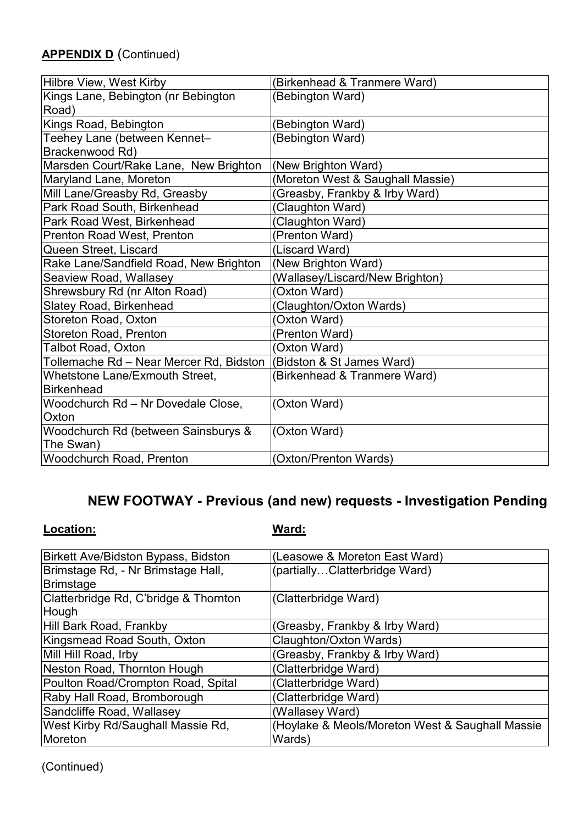# **APPENDIX D** (Continued)

| Hilbre View, West Kirby                                            | (Birkenhead & Tranmere Ward)     |
|--------------------------------------------------------------------|----------------------------------|
| Kings Lane, Bebington (nr Bebington                                | (Bebington Ward)                 |
| Road)                                                              |                                  |
| Kings Road, Bebington                                              | (Bebington Ward)                 |
| Teehey Lane (between Kennet-                                       | (Bebington Ward)                 |
| Brackenwood Rd)                                                    |                                  |
| Marsden Court/Rake Lane, New Brighton                              | (New Brighton Ward)              |
| Maryland Lane, Moreton                                             | (Moreton West & Saughall Massie) |
| Mill Lane/Greasby Rd, Greasby                                      | (Greasby, Frankby & Irby Ward)   |
| Park Road South, Birkenhead                                        | (Claughton Ward)                 |
| Park Road West, Birkenhead                                         | (Claughton Ward)                 |
| <b>Prenton Road West, Prenton</b>                                  | (Prenton Ward)                   |
| Queen Street, Liscard                                              | (Liscard Ward)                   |
| Rake Lane/Sandfield Road, New Brighton                             | (New Brighton Ward)              |
| Seaview Road, Wallasey                                             | (Wallasey/Liscard/New Brighton)  |
| Shrewsbury Rd (nr Alton Road)                                      | (Oxton Ward)                     |
| Slatey Road, Birkenhead                                            | (Claughton/Oxton Wards)          |
| Storeton Road, Oxton                                               | (Oxton Ward)                     |
| Storeton Road, Prenton                                             | (Prenton Ward)                   |
| <b>Talbot Road, Oxton</b>                                          | (Oxton Ward)                     |
| Tollemache Rd – Near Mercer Rd, Bidston  (Bidston & St James Ward) |                                  |
| Whetstone Lane/Exmouth Street,                                     | (Birkenhead & Tranmere Ward)     |
| Birkenhead                                                         |                                  |
| Woodchurch Rd - Nr Dovedale Close,                                 | (Oxton Ward)                     |
| Oxton                                                              |                                  |
| Woodchurch Rd (between Sainsburys &                                | (Oxton Ward)                     |
| The Swan)                                                          |                                  |
| Woodchurch Road, Prenton                                           | (Oxton/Prenton Wards)            |

# NEW FOOTWAY - Previous (and new) requests - Investigation Pending

Location: Ward:

| Birkett Ave/Bidston Bypass, Bidston   | (Leasowe & Moreton East Ward)                   |
|---------------------------------------|-------------------------------------------------|
| Brimstage Rd, - Nr Brimstage Hall,    | (partiallyClatterbridge Ward)                   |
| Brimstage                             |                                                 |
| Clatterbridge Rd, C'bridge & Thornton | (Clatterbridge Ward)                            |
| Hough                                 |                                                 |
| Hill Bark Road, Frankby               | (Greasby, Frankby & Irby Ward)                  |
| Kingsmead Road South, Oxton           | Claughton/Oxton Wards)                          |
| Mill Hill Road, Irby                  | (Greasby, Frankby & Irby Ward)                  |
| Neston Road, Thornton Hough           | (Clatterbridge Ward)                            |
| Poulton Road/Crompton Road, Spital    | (Clatterbridge Ward)                            |
| Raby Hall Road, Bromborough           | (Clatterbridge Ward)                            |
| Sandcliffe Road, Wallasey             | (Wallasey Ward)                                 |
| West Kirby Rd/Saughall Massie Rd,     | (Hoylake & Meols/Moreton West & Saughall Massie |
| Moreton                               | Wards)                                          |

(Continued)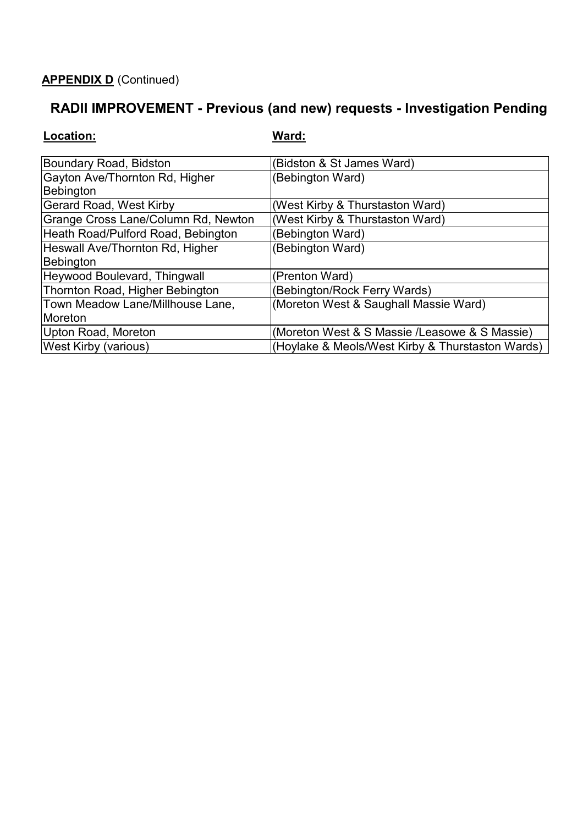# APPENDIX D (Continued)

# RADII IMPROVEMENT - Previous (and new) requests - Investigation Pending

| Location:                                    | Ward:                                            |
|----------------------------------------------|--------------------------------------------------|
| Boundary Road, Bidston                       | (Bidston & St James Ward)                        |
| Gayton Ave/Thornton Rd, Higher<br>Bebington  | (Bebington Ward)                                 |
| Gerard Road, West Kirby                      | (West Kirby & Thurstaston Ward)                  |
| Grange Cross Lane/Column Rd, Newton          | (West Kirby & Thurstaston Ward)                  |
| Heath Road/Pulford Road, Bebington           | (Bebington Ward)                                 |
| Heswall Ave/Thornton Rd, Higher<br>Bebington | (Bebington Ward)                                 |
| Heywood Boulevard, Thingwall                 | (Prenton Ward)                                   |
| Thornton Road, Higher Bebington              | (Bebington/Rock Ferry Wards)                     |
| Town Meadow Lane/Millhouse Lane,             | (Moreton West & Saughall Massie Ward)            |
| Moreton                                      |                                                  |
| Upton Road, Moreton                          | (Moreton West & S Massie /Leasowe & S Massie)    |
| <b>West Kirby (various)</b>                  | (Hoylake & Meols/West Kirby & Thurstaston Wards) |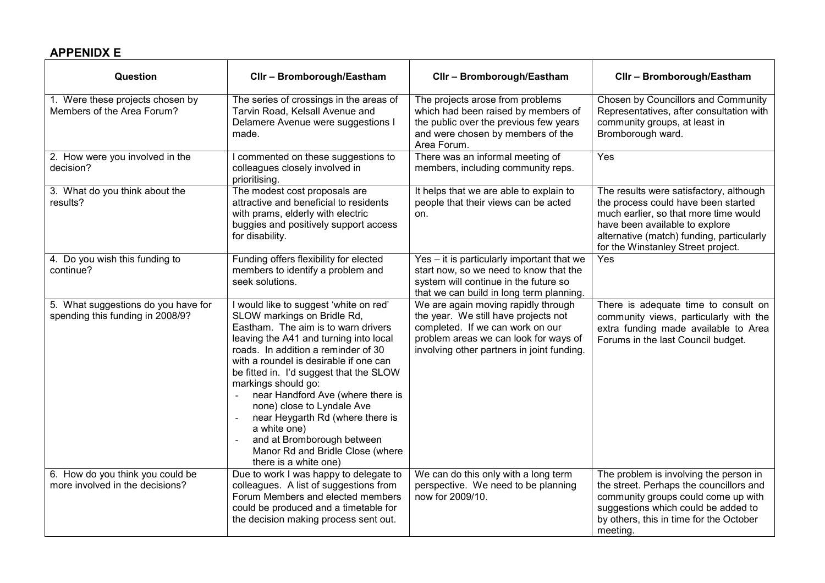## APPENIDX E

| Question                                                                | Cllr - Bromborough/Eastham                                                                                                                                                                                                                                                                                                                                                                                                                                                                                                                                                     | Cllr - Bromborough/Eastham                                                                                                                                                                             | Cllr - Bromborough/Eastham                                                                                                                                                                                                                   |
|-------------------------------------------------------------------------|--------------------------------------------------------------------------------------------------------------------------------------------------------------------------------------------------------------------------------------------------------------------------------------------------------------------------------------------------------------------------------------------------------------------------------------------------------------------------------------------------------------------------------------------------------------------------------|--------------------------------------------------------------------------------------------------------------------------------------------------------------------------------------------------------|----------------------------------------------------------------------------------------------------------------------------------------------------------------------------------------------------------------------------------------------|
| 1. Were these projects chosen by<br>Members of the Area Forum?          | The series of crossings in the areas of<br>Tarvin Road, Kelsall Avenue and<br>Delamere Avenue were suggestions I<br>made.                                                                                                                                                                                                                                                                                                                                                                                                                                                      | The projects arose from problems<br>which had been raised by members of<br>the public over the previous few years<br>and were chosen by members of the<br>Area Forum.                                  | Chosen by Councillors and Community<br>Representatives, after consultation with<br>community groups, at least in<br>Bromborough ward.                                                                                                        |
| 2. How were you involved in the<br>decision?                            | I commented on these suggestions to<br>colleagues closely involved in<br>prioritising.                                                                                                                                                                                                                                                                                                                                                                                                                                                                                         | There was an informal meeting of<br>members, including community reps.                                                                                                                                 | Yes                                                                                                                                                                                                                                          |
| 3. What do you think about the<br>results?                              | The modest cost proposals are<br>attractive and beneficial to residents<br>with prams, elderly with electric<br>buggies and positively support access<br>for disability.                                                                                                                                                                                                                                                                                                                                                                                                       | It helps that we are able to explain to<br>people that their views can be acted<br>on.                                                                                                                 | The results were satisfactory, although<br>the process could have been started<br>much earlier, so that more time would<br>have been available to explore<br>alternative (match) funding, particularly<br>for the Winstanley Street project. |
| 4. Do you wish this funding to<br>continue?                             | Funding offers flexibility for elected<br>members to identify a problem and<br>seek solutions.                                                                                                                                                                                                                                                                                                                                                                                                                                                                                 | Yes – it is particularly important that we<br>start now, so we need to know that the<br>system will continue in the future so<br>that we can build in long term planning.                              | Yes                                                                                                                                                                                                                                          |
| 5. What suggestions do you have for<br>spending this funding in 2008/9? | I would like to suggest 'white on red'<br>SLOW markings on Bridle Rd,<br>Eastham. The aim is to warn drivers<br>leaving the A41 and turning into local<br>roads. In addition a reminder of 30<br>with a roundel is desirable if one can<br>be fitted in. I'd suggest that the SLOW<br>markings should go:<br>near Handford Ave (where there is<br>$\sim$<br>none) close to Lyndale Ave<br>near Heygarth Rd (where there is<br>$\bar{a}$<br>a white one)<br>and at Bromborough between<br>$\overline{\phantom{a}}$<br>Manor Rd and Bridle Close (where<br>there is a white one) | We are again moving rapidly through<br>the year. We still have projects not<br>completed. If we can work on our<br>problem areas we can look for ways of<br>involving other partners in joint funding. | There is adequate time to consult on<br>community views, particularly with the<br>extra funding made available to Area<br>Forums in the last Council budget.                                                                                 |
| 6. How do you think you could be<br>more involved in the decisions?     | Due to work I was happy to delegate to<br>colleagues. A list of suggestions from<br>Forum Members and elected members<br>could be produced and a timetable for<br>the decision making process sent out.                                                                                                                                                                                                                                                                                                                                                                        | We can do this only with a long term<br>perspective. We need to be planning<br>now for 2009/10.                                                                                                        | The problem is involving the person in<br>the street. Perhaps the councillors and<br>community groups could come up with<br>suggestions which could be added to<br>by others, this in time for the October<br>meeting.                       |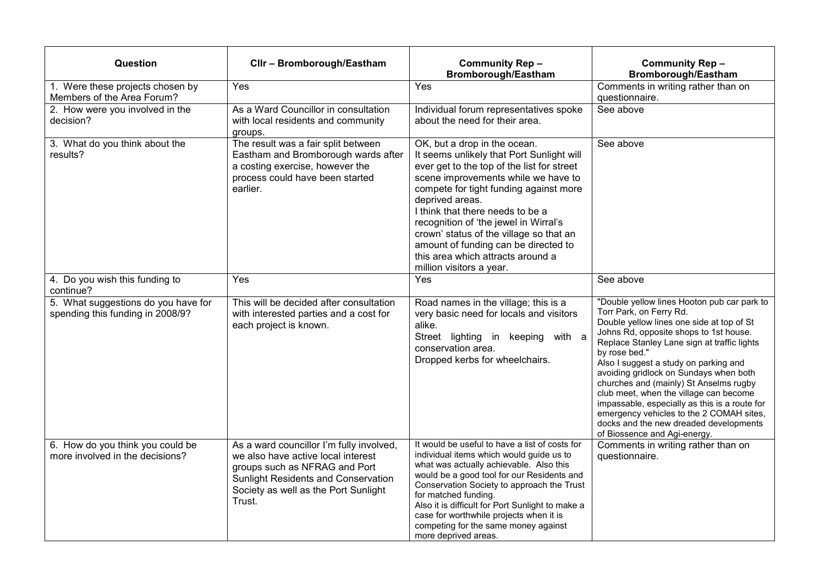| Question                                                                | Cllr - Bromborough/Eastham                                                                                                                                                                               | <b>Community Rep-</b><br>Bromborough/Eastham                                                                                                                                                                                                                                                                                                                                                                                                                 | <b>Community Rep-</b><br><b>Bromborough/Eastham</b>                                                                                                                                                                                                                                                                                                                                                                                                                                                                                                                         |
|-------------------------------------------------------------------------|----------------------------------------------------------------------------------------------------------------------------------------------------------------------------------------------------------|--------------------------------------------------------------------------------------------------------------------------------------------------------------------------------------------------------------------------------------------------------------------------------------------------------------------------------------------------------------------------------------------------------------------------------------------------------------|-----------------------------------------------------------------------------------------------------------------------------------------------------------------------------------------------------------------------------------------------------------------------------------------------------------------------------------------------------------------------------------------------------------------------------------------------------------------------------------------------------------------------------------------------------------------------------|
| 1. Were these projects chosen by<br>Members of the Area Forum?          | Yes                                                                                                                                                                                                      | Yes                                                                                                                                                                                                                                                                                                                                                                                                                                                          | Comments in writing rather than on<br>questionnaire.                                                                                                                                                                                                                                                                                                                                                                                                                                                                                                                        |
| 2. How were you involved in the<br>decision?                            | As a Ward Councillor in consultation<br>with local residents and community<br>groups.                                                                                                                    | Individual forum representatives spoke<br>about the need for their area.                                                                                                                                                                                                                                                                                                                                                                                     | See above                                                                                                                                                                                                                                                                                                                                                                                                                                                                                                                                                                   |
| 3. What do you think about the<br>results?                              | The result was a fair split between<br>Eastham and Bromborough wards after<br>a costing exercise, however the<br>process could have been started<br>earlier.                                             | OK, but a drop in the ocean.<br>It seems unlikely that Port Sunlight will<br>ever get to the top of the list for street<br>scene improvements while we have to<br>compete for tight funding against more<br>deprived areas.<br>I think that there needs to be a<br>recognition of 'the jewel in Wirral's<br>crown' status of the village so that an<br>amount of funding can be directed to<br>this area which attracts around a<br>million visitors a year. | See above                                                                                                                                                                                                                                                                                                                                                                                                                                                                                                                                                                   |
| 4. Do you wish this funding to<br>continue?                             | Yes                                                                                                                                                                                                      | Yes                                                                                                                                                                                                                                                                                                                                                                                                                                                          | See above                                                                                                                                                                                                                                                                                                                                                                                                                                                                                                                                                                   |
| 5. What suggestions do you have for<br>spending this funding in 2008/9? | This will be decided after consultation<br>with interested parties and a cost for<br>each project is known.                                                                                              | Road names in the village; this is a<br>very basic need for locals and visitors<br>alike.<br>Street lighting in keeping with a<br>conservation area.<br>Dropped kerbs for wheelchairs.                                                                                                                                                                                                                                                                       | "Double yellow lines Hooton pub car park to<br>Torr Park, on Ferry Rd.<br>Double yellow lines one side at top of St<br>Johns Rd, opposite shops to 1st house.<br>Replace Stanley Lane sign at traffic lights<br>by rose bed."<br>Also I suggest a study on parking and<br>avoiding gridlock on Sundays when both<br>churches and (mainly) St Anselms rugby<br>club meet, when the village can become<br>impassable, especially as this is a route for<br>emergency vehicles to the 2 COMAH sites,<br>docks and the new dreaded developments<br>of Biossence and Agi-energy. |
| 6. How do you think you could be<br>more involved in the decisions?     | As a ward councillor I'm fully involved,<br>we also have active local interest<br>groups such as NFRAG and Port<br>Sunlight Residents and Conservation<br>Society as well as the Port Sunlight<br>Trust. | It would be useful to have a list of costs for<br>individual items which would guide us to<br>what was actually achievable. Also this<br>would be a good tool for our Residents and<br>Conservation Society to approach the Trust<br>for matched funding.<br>Also it is difficult for Port Sunlight to make a<br>case for worthwhile projects when it is<br>competing for the same money against<br>more deprived areas.                                     | Comments in writing rather than on<br>questionnaire.                                                                                                                                                                                                                                                                                                                                                                                                                                                                                                                        |